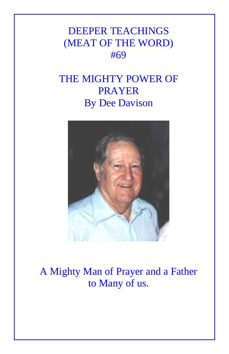## DEEPER TEACHINGS (MEAT OF THE WORD) #69

## THE MIGHTY POWER OF PRAYER By Dee Davison



## A Mighty Man of Prayer and a Father to Many of us.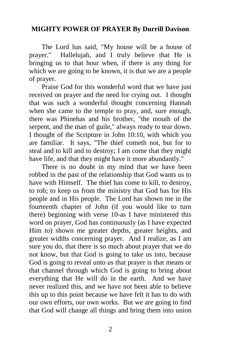## **MIGHTY POWER OF PRAYER By Durrill Davison**

The Lord has said, "My house will be a house of prayer." Hallelujah, and I truly believe that He is bringing us to that hour when, if there is any thing for which we are going to be known, it is that we are a people of prayer.

Praise God for this wonderful word that we have just received on prayer and the need for crying out. I thought that was such a wonderful thought concerning Hannah when she came to the temple to pray, and, sure enough, there was Phinehas and his brother, "the mouth of the serpent, and the man of guile," always ready to tear down. I thought of the Scripture in John 10:10, with which you are familiar. It says, "The thief cometh not, but for to steal and to kill and to destroy; I am come that they might have life, and that they might have it more abundantly."

There is no doubt in my mind that we have been robbed in the past of the relationship that God wants us to have with Himself. The thief has come to kill, to destroy, to rob; to keep us from the ministry that God has for His people and in His people. The Lord has shown me in the fourteenth chapter of John (if you would like to turn there) beginning with verse 10-as I have ministered this word on prayer, God has continuously (as I have expected Him to) shown me greater depths, greater heights, and greater widths concerning prayer. And I realize, as I am sure you do, that there is so much about prayer that we do not know, but that God is going to take us into, because God is going to reveal unto us that prayer is that means or that channel through which God is going to bring about everything that He will do in the earth. And we have never realized this, and we have not been able to believe this up to this point because we have felt it has to do with our own efforts, our own works. But we are going to find that God will change all things and bring them into union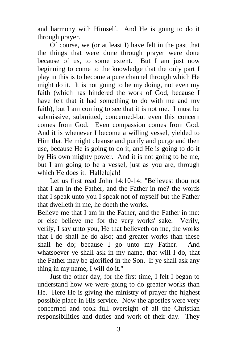and harmony with Himself. And He is going to do it through prayer.

Of course, we (or at least I) have felt in the past that the things that were done through prayer were done because of us, to some extent. But I am just now beginning to come to the knowledge that the only part I play in this is to become a pure channel through which He might do it. It is not going to be my doing, not even my faith (which has hindered the work of God, because I have felt that it had something to do with me and my faith), but I am coming to see that it is not me. I must be submissive, submitted, concerned-but even this concern comes from God. Even compassion comes from God. And it is whenever I become a willing vessel, yielded to Him that He might cleanse and purify and purge and then use, because He is going to do it, and He is going to do it by His own mighty power. And it is not going to be me, but I am going to be a vessel, just as you are, through which He does it. Hallelujah!

Let us first read John 14:10-14: "Believest thou not that I am in the Father, and the Father in me? the words that I speak unto you I speak not of myself but the Father that dwelleth in me, he doeth the works.

Believe me that I am in the Father, and the Father in me: or else believe me for the very works' sake. Verily, verily, I say unto you, He that believeth on me, the works that I do shall he do also; and greater works than these shall he do; because I go unto my Father. And whatsoever ye shall ask in my name, that will I do, that the Father may be glorified in the Son. If ye shall ask any thing in my name, I will do it."

Just the other day, for the first time, I felt I began to understand how we were going to do greater works than He. Here He is giving the ministry of prayer the highest possible place in His service. Now the apostles were very concerned and took full oversight of all the Christian responsibilities and duties and work of their day. They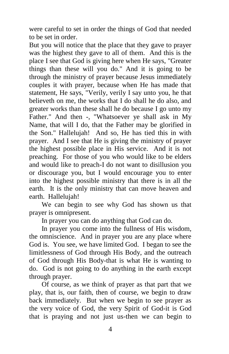were careful to set in order the things of God that needed to be set in order.

But you will notice that the place that they gave to prayer was the highest they gave to all of them. And this is the place I see that God is giving here when He says, "Greater things than these will you do." And it is going to be through the ministry of prayer because Jesus immediately couples it with prayer, because when He has made that statement, He says, "Verily, verily I say unto you, he that believeth on me, the works that I do shall he do also, and greater works than these shall he do because I go unto my Father." And then -, "Whatsoever ye shall ask in My Name, that will I do, that the Father may be glorified in the Son." Hallelujah! And so, He has tied this in with prayer. And I see that He is giving the ministry of prayer the highest possible place in His service. And it is not preaching. For those of you who would like to be elders and would like to preach-I do not want to disillusion you or discourage you, but I would encourage you to enter into the highest possible ministry that there is in all the earth. It is the only ministry that can move heaven and earth. Hallelujah!

We can begin to see why God has shown us that prayer is omnipresent.

In prayer you can do anything that God can do.

In prayer you come into the fullness of His wisdom, the omniscience. And in prayer you are any place where God is. You see, we have limited God. I began to see the limitlessness of God through His Body, and the outreach of God through His Body-that is what He is wanting to do. God is not going to do anything in the earth except through prayer.

Of course, as we think of prayer as that part that we play, that is, our faith, then of course, we begin to draw back immediately. But when we begin to see prayer as the very voice of God, the very Spirit of God-it is God that is praying and not just us-then we can begin to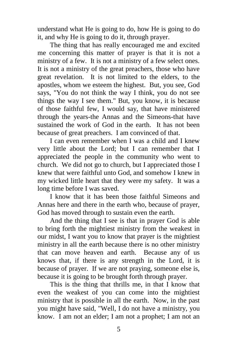understand what He is going to do, how He is going to do it, and why He is going to do it, through prayer.

The thing that has really encouraged me and excited me concerning this matter of prayer is that it is not a ministry of a few. It is not a ministry of a few select ones. It is not a ministry of the great preachers, those who have great revelation. It is not limited to the elders, to the apostles, whom we esteem the highest. But, you see, God says, "You do not think the way I think, you do not see things the way I see them." But, you know, it is because of those faithful few, I would say, that have ministered through the years-the Annas and the Simeons-that have sustained the work of God in the earth. It has not been because of great preachers. I am convinced of that.

I can even remember when I was a child and I knew very little about the Lord; but I can remember that I appreciated the people in the community who went to church. We did not go to church, but I appreciated those I knew that were faithful unto God, and somehow I knew in my wicked little heart that they were my safety. It was a long time before I was saved.

I know that it has been those faithful Simeons and Annas here and there in the earth who, because of prayer, God has moved through to sustain even the earth.

And the thing that I see is that in prayer God is able to bring forth the mightiest ministry from the weakest in our midst, I want you to know that prayer is the mightiest ministry in all the earth because there is no other ministry that can move heaven and earth. Because any of us knows that, if there is any strength in the Lord, it is because of prayer. If we are not praying, someone else is, because it is going to be brought forth through prayer.

This is the thing that thrills me, in that I know that even the weakest of you can come into the mightiest ministry that is possible in all the earth. Now, in the past you might have said, "Well, I do not have a ministry, you know. I am not an elder; I am not a prophet; I am not an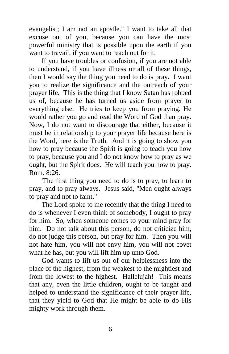evangelist; I am not an apostle." I want to take all that excuse out of you, because you can have the most powerful ministry that is possible upon the earth if you want to travail, if you want to reach out for it.

If you have troubles or confusion, if you are not able to understand, if you have illness or all of these things, then I would say the thing you need to do is pray. I want you to realize the significance and the outreach of your prayer life. This is the thing that I know Satan has robbed us of, because he has turned us aside from prayer to everything else. He tries to keep you from praying. He would rather you go and read the Word of God than pray. Now, I do not want to discourage that either, because it must be in relationship to your prayer life because here is the Word, here is the Truth. And it is going to show you how to pray because the Spirit is going to teach you how to pray, because you and I do not know how to pray as we ought, but the Spirit does. He will teach you how to pray. Rom. 8:26.

'The first thing you need to do is to pray, to learn to pray, and to pray always. Jesus said, "Men ought always to pray and not to faint."

The Lord spoke to me recently that the thing I need to do is whenever I even think of somebody, I ought to pray for him. So, when someone comes to your mind pray for him. Do not talk about this person, do not criticize him, do not judge this person, but pray for him. Then you will not hate him, you will not envy him, you will not covet what he has, but you will lift him up unto God.

God wants to lift us out of our helplessness into the place of the highest, from the weakest to the mightiest and from the lowest to the highest. Hallelujah! This means that any, even the little children, ought to be taught and helped to understand the significance of their prayer life, that they yield to God that He might be able to do His mighty work through them.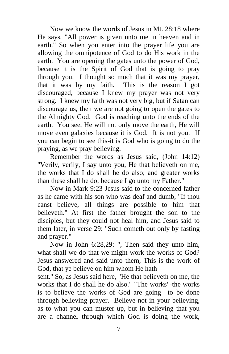Now we know the words of Jesus in Mt. 28:18 where He says, "All power is given unto me in heaven and in earth." So when you enter into the prayer life you are allowing the omnipotence of God to do His work in the earth. You are opening the gates unto the power of God, because it is the Spirit of God that is going to pray through you. I thought so much that it was my prayer, that it was by my faith. This is the reason I got discouraged, because I knew my prayer was not very strong. I knew my faith was not very big, but if Satan can discourage us, then we are not going to open the gates to the Almighty God. God is reaching unto the ends of the earth. You see, He will not only move the earth, He will move even galaxies because it is God. It is not you. If you can begin to see this-it is God who is going to do the praying, as we pray believing.

Remember the words as Jesus said, (John 14:12) "Verily, verily, I say unto you, He that believeth on me, the works that I do shall he do also; and greater works than these shall he do; because I go unto my Father."

Now in Mark 9:23 Jesus said to the concerned father as he came with his son who was deaf and dumb, "If thou canst believe, all things are possible to him that believeth." At first the father brought the son to the disciples, but they could not heal him, and Jesus said to them later, in verse 29: "Such cometh out only by fasting and prayer."

Now in John 6:28,29: ", Then said they unto him, what shall we do that we might work the works of God? Jesus answered and said unto them, This is the work of God, that ye believe on him whom He hath

sent." So, as Jesus said here, "He that believeth on me, the works that I do shall he do also." "The works"-the works is to believe the works of God are going to be done through believing prayer. Believe-not in your believing, as to what you can muster up, but in believing that you are a channel through which God is doing the work,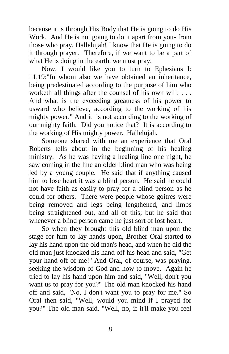because it is through His Body that He is going to do His Work. And He is not going to do it apart from you- from those who pray. Hallelujah! I know that He is going to do it through prayer. Therefore, if we want to be a part of what He is doing in the earth, we must pray.

Now, I would like you to turn to Ephesians l: 11,19:"In whom also we have obtained an inheritance, being predestinated according to the purpose of him who worketh all things after the counsel of his own will: . . . And what is the exceeding greatness of his power to usward who believe, according to the working of his mighty power." And it is not according to the working of our mighty faith. Did you notice that? It is according to the working of His mighty power. Hallelujah.

Someone shared with me an experience that Oral Roberts tells about in the beginning of his healing ministry. As he was having a healing line one night, he saw coming in the line an older blind man who was being led by a young couple. He said that if anything caused him to lose heart it was a blind person. He said he could not have faith as easily to pray for a blind person as he could for others. There were people whose goitres were being removed and legs being lengthened, and limbs being straightened out, and all of this; but he said that whenever a blind person came he just sort of lost heart.

So when they brought this old blind man upon the stage for him to lay hands upon, Brother Oral started to lay his hand upon the old man's head, and when he did the old man just knocked his hand off his head and said, "Get your hand off of me!" And Oral, of course, was praying, seeking the wisdom of God and how to move. Again he tried to lay his hand upon him and said, "Well, don't you want us to pray for you?" The old man knocked his hand off and said, "No, I don't want you to pray for me." So Oral then said, "Well, would you mind if I prayed for you?" The old man said, "Well, no, if it'll make you feel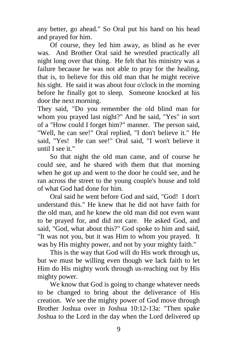any better, go ahead." So Oral put his hand on his head and prayed for him.

Of course, they led him away, as blind as he ever was. And Brother Oral said he wrestled practically all night long over that thing. He felt that his ministry was a failure because he was not able to pray for the healing, that is, to believe for this old man that he might receive his sight. He said it was about four o'clock in the morning before he finally got to sleep. Someone knocked at his door the next morning.

They said, "Do you remember the old blind man for whom you prayed last night?" And he said, "Yes" in sort of a "How could I forget him?" manner. The person said, "Well, he can see!" Oral replied, "I don't believe it." He said, "Yes! He can see!" Oral said, "I won't believe it until I see it."

So that night the old man came, and of course he could see, and he shared with them that that morning when he got up and went to the door he could see, and he ran across the street to the young couple's house and told of what God had done for him.

Oral said he went before God and said, "God! I don't understand this." He knew that he did not have faith for the old man, and he knew the old man did not even want to be prayed for, and did not care. He asked God, and said, "God, what about this?" God spoke to him and said, "It was not you, but it was Him to whom you prayed. It was by His mighty power, and not by your mighty faith."

This is the way that God will do His work through us, but we must be willing even though we lack faith to let Him do His mighty work through us-reaching out by His mighty power.

We know that God is going to change whatever needs to be changed to bring about the deliverance of His creation. We see the mighty power of God move through Brother Joshua over in Joshua 10:12-13a: "Then spake Joshua to the Lord in the day when the Lord delivered up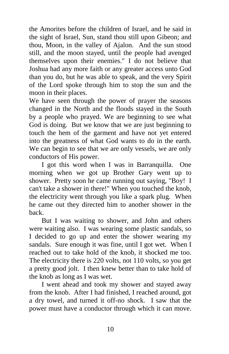the Amorites before the children of Israel, and he said in the sight of Israel, Sun, stand thou still upon Gibeon; and thou, Moon, in the valley of Ajalon. And the sun stood still, and the moon stayed, until the people had avenged themselves upon their enemies." I do not believe that Joshua had any more faith or any greater access unto God than you do, but he was able to speak, and the very Spirit of the Lord spoke through him to stop the sun and the moon in their places.

We have seen through the power of prayer the seasons changed in the North and the floods stayed in the South by a people who prayed. We are beginning to see what God is doing. But we know that we are just beginning to touch the hem of the garment and have not yet entered into the greatness of what God wants to do in the earth. We can begin to see that we are only vessels, we are only conductors of His power.

I got this word when I was in Barranquilla. One morning when we got up Brother Gary went up to shower. Pretty soon he came running out saying, "Boy! I can't take a shower in there!" When you touched the knob, the electricity went through you like a spark plug. When he came out they directed him to another shower in the back.

But I was waiting to shower, and John and others were waiting also. I was wearing some plastic sandals, so I decided to go up and enter the shower wearing my sandals. Sure enough it was fine, until I got wet. When I reached out to take hold of the knob, it shocked me too. The electricity there is 220 volts, not 110 volts, so you get a pretty good jolt. I then knew better than to take hold of the knob as long as I was wet.

I went ahead and took my shower and stayed away from the knob. After I had finished, I reached around, got a dry towel, and turned it off-no shock. I saw that the power must have a conductor through which it can move.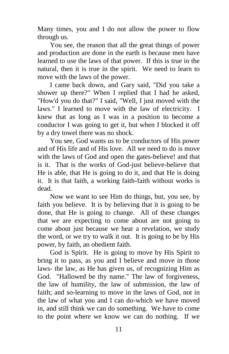Many times, you and I do not allow the power to flow through us.

You see, the reason that all the great things of power and production are done in the earth is because men have learned to use the laws of that power. If this is true in the natural, then it is true in the spirit. We need to learn to move with the laws of the power.

I came back down, and Gary said, "Did you take a shower up there?" When I replied that I had he asked, "How'd you do that?" I said, "Well, I just moved with the laws." I learned to move with the law of electricity. I knew that as long as I was in a position to become a conductor I was going to get it, but when I blocked it off by a dry towel there was no shock.

You see, God wants us to be conductors of His power and of His life and of His love. All we need to do is move with the laws of God and open the gates-believe! and that is it. That is the works of God-just believe-believe that He is able, that He is going to do it, and that He is doing it. It is that faith, a working faith-faith without works is dead.

Now we want to see Him do things, but, you see, by faith you believe. It is by believing that it is going to be done, that He is going to change. All of these changes that we are expecting to come about are not going to come about just because we hear a revelation, we study the word, or we try to walk it out. It is going to be by His power, by faith, an obedient faith.

God is Spirit. He is going to move by His Spirit to bring it to pass, as you and I believe and move in those laws- the law, as He has given us, of recognizing Him as God. "Hallowed be thy name." The law of forgiveness, the law of humility, the law of submission, the law of faith; and so-learning to move in the laws of God, not in the law of what you and I can do-which we have moved in, and still think we can do something. We have to come to the point where we know we can do nothing. If we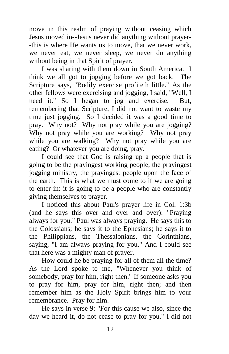move in this realm of praying without ceasing which Jesus moved in--Jesus never did anything without prayer- -this is where He wants us to move, that we never work, we never eat, we never sleep, we never do anything without being in that Spirit of prayer.

I was sharing with them down in South America. I think we all got to jogging before we got back. The Scripture says, "Bodily exercise profiteth little." As the other fellows were exercising and jogging, I said, "Well, I need it." So I began to jog and exercise. But, remembering that Scripture, I did not want to waste my time just jogging. So I decided it was a good time to pray. Why not? Why not pray while you are jogging? Why not pray while you are working? Why not pray while you are walking? Why not pray while you are eating? Or whatever you are doing, pray.

I could see that God is raising up a people that is going to be the prayingest working people, the prayingest jogging ministry, the prayingest people upon the face of the earth. This is what we must come to if we are going to enter in: it is going to be a people who are constantly giving themselves to prayer.

I noticed this about Paul's prayer life in Col. 1:3b (and he says this over and over and over): "Praying always for you." Paul was always praying. He says this to the Colossians; he says it to the Ephesians; he says it to the Philippians, the Thessalonians, the Corinthians, saying, "I am always praying for you." And I could see that here was a mighty man of prayer.

How could he be praying for all of them all the time? As the Lord spoke to me, "Whenever you think of somebody, pray for him, right then." If someone asks you to pray for him, pray for him, right then; and then remember him as the Holy Spirit brings him to your remembrance. Pray for him.

He says in verse 9: "For this cause we also, since the day we heard it, do not cease to pray for you." I did not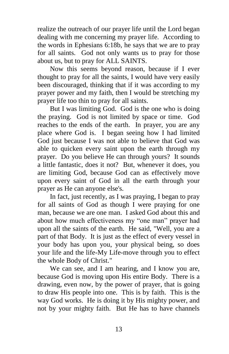realize the outreach of our prayer life until the Lord began dealing with me concerning my prayer life. According to the words in Ephesians 6:18b, he says that we are to pray for all saints. God not only wants us to pray for those about us, but to pray for ALL SAINTS.

Now this seems beyond reason, because if I ever thought to pray for all the saints, I would have very easily been discouraged, thinking that if it was according to my prayer power and my faith, then I would be stretching my prayer life too thin to pray for all saints.

But I was limiting God. God is the one who is doing the praying. God is not limited by space or time. God reaches to the ends of the earth. In prayer, you are any place where God is. I began seeing how I had limited God just because I was not able to believe that God was able to quicken every saint upon the earth through my prayer. Do you believe He can through yours? It sounds a little fantastic, does it not? But, whenever it does, you are limiting God, because God can as effectively move upon every saint of God in all the earth through your prayer as He can anyone else's.

In fact, just recently, as I was praying, I began to pray for all saints of God as though I were praying for one man, because we are one man. I asked God about this and about how much effectiveness my "one man" prayer had upon all the saints of the earth. He said, "Well, you are a part of that Body. It is just as the effect of every vessel in your body has upon you, your physical being, so does your life and the life-My Life-move through you to effect the whole Body of Christ."

We can see, and I am hearing, and I know you are, because God is moving upon His entire Body. There is a drawing, even now, by the power of prayer, that is going to draw His people into one. This is by faith. This is the way God works. He is doing it by His mighty power, and not by your mighty faith. But He has to have channels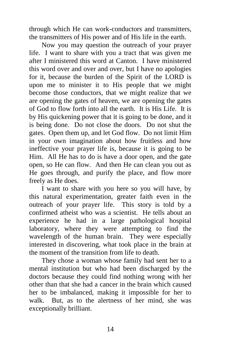through which He can work-conductors and transmitters, the transmitters of His power and of His life in the earth.

Now you may question the outreach of your prayer life. I want to share with you a tract that was given me after I ministered this word at Canton. I have ministered this word over and over and over, but I have no apologies for it, because the burden of the Spirit of the LORD is upon me to minister it to His people that we might become those conductors, that we might realize that we are opening the gates of heaven, we are opening the gates of God to flow forth into all the earth. It is His Life. It is by His quickening power that it is going to be done, and it is being done. Do not close the doors. Do not shut the gates. Open them up, and let God flow. Do not limit Him in your own imagination about how fruitless and how ineffective your prayer life is, because it is going to be Him. All He has to do is have a door open, and the gate open, so He can flow. And then He can clean you out as He goes through, and purify the place, and flow more freely as He does.

I want to share with you here so you will have, by this natural experimentation, greater faith even in the outreach of your prayer life. This story is told by a confirmed atheist who was a scientist. He tells about an experience he had in a large pathological hospital laboratory, where they were attempting to find the wavelength of the human brain. They were especially interested in discovering, what took place in the brain at the moment of the transition from life to death.

They chose a woman whose family had sent her to a mental institution but who had been discharged by the doctors because they could find nothing wrong with her other than that she had a cancer in the brain which caused her to be imbalanced, making it impossible for her to walk. But, as to the alertness of her mind, she was exceptionally brilliant.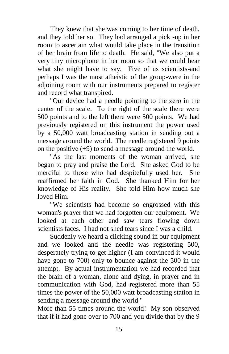They knew that she was coming to her time of death, and they told her so. They had arranged a pick -up in her room to ascertain what would take place in the transition of her brain from life to death. He said, "We also put a very tiny microphone in her room so that we could hear what she might have to say. Five of us scientists-and perhaps I was the most atheistic of the group-were in the adjoining room with our instruments prepared to register and record what transpired.

"Our device had a needle pointing to the zero in the center of the scale. To the right of the scale there were 500 points and to the left there were 500 points. We had previously registered on this instrument the power used by a 50,000 watt broadcasting station in sending out a message around the world. The needle registered 9 points on the positive  $(+9)$  to send a message around the world.

"As the last moments of the woman arrived, she began to pray and praise the Lord. She asked God to be merciful to those who had despitefully used her. She reaffirmed her faith in God. She thanked Him for her knowledge of His reality. She told Him how much she loved Him.

"We scientists had become so engrossed with this woman's prayer that we had forgotten our equipment. We looked at each other and saw tears flowing down scientists faces. I had not shed tears since I was a child.

Suddenly we heard a clicking sound in our equipment and we looked and the needle was registering 500, desperately trying to get higher (I am convinced it would have gone to 700) only to bounce against the 500 in the attempt. By actual instrumentation we had recorded that the brain of a woman, alone and dying, in prayer and in communication with God, had registered more than 55 times the power of the 50,000 watt broadcasting station in sending a message around the world."

More than 55 times around the world! My son observed that if it had gone over to 700 and you divide that by the 9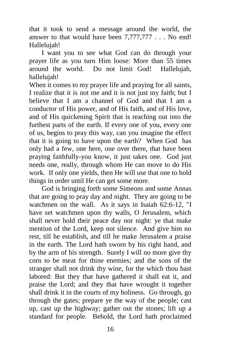that it took to send a message around the world, the answer to that would have been 7,777,777 . . . No end! Hallelujah!

I want you to see what God can do through your prayer life as you turn Him loose: More than 55 times around the world. Do not limit God! Hallelujah, hallelujah!

When it comes to my prayer life and praying for all saints, I realize that it is not me and it is not just my faith; but I believe that I am a channel of God and that I am a conductor of His power, and of His faith, and of His love, and of His quickening Spirit that is reaching out into the furthest parts of the earth. If every one of you, every one of us, begins to pray this way, can you imagine the effect that it is going to have upon the earth? When God has only had a few, one here, one over there, that have been praying faithfully-you know, it just takes one. God just needs one, really, through whom He can move to do His work. If only one yields, then He will use that one to hold things in order until He can get some more.

God is bringing forth some Simeons and some Annas that are going to pray day and night. They are going to be watchmen on the wall. As it says in Isaiah 62:6-12, "I have set watchmen upon thy walls, O Jerusalem, which shall never hold their peace day nor night: ye that make mention of the Lord, keep not silence. And give him no rest, till he establish, and till he make Jerusalem a praise in the earth. The Lord hath sworn by his right hand, and by the arm of his strength. Surely I will no more give thy corn to be meat for thine enemies; and the sons of the stranger shall not drink thy wine, for the which thou hast labored: But they that have gathered it shall eat it, and praise the Lord; and they that have wrought it together shall drink it in the courts of my holiness. Go through, go through the gates; prepare ye the way of the people; cast up, cast up the highway; gather out the stones; lift up a standard for people. Behold, the Lord hath proclaimed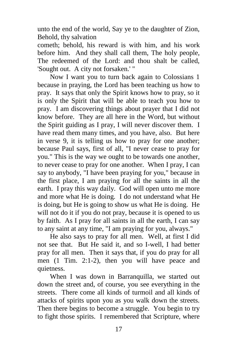unto the end of the world, Say ye to the daughter of Zion, Behold, thy salvation

cometh; behold, his reward is with him, and his work before him. And they shall call them, The holy people, The redeemed of the Lord: and thou shalt be called, 'Sought out. A city not forsaken.' "

Now I want you to turn back again to Colossians 1 because in praying, the Lord has been teaching us how to pray. It says that only the Spirit knows how to pray, so it is only the Spirit that will be able to teach you how to pray. I am discovering things about prayer that I did not know before. They are all here in the Word, but without the Spirit guiding as I pray, I will never discover them. I have read them many times, and you have, also. But here in verse 9, it is telling us how to pray for one another; because Paul says, first of all, "I never cease to pray for you." This is the way we ought to be towards one another, to never cease to pray for one another. When I pray, I can say to anybody, "I have been praying for you," because in the first place, I am praying for all the saints in all the earth. I pray this way daily. God will open unto me more and more what He is doing. I do not understand what He is doing, but He is going to show us what He is doing. He will not do it if you do not pray, because it is opened to us by faith. As I pray for all saints in all the earth, I can say to any saint at any time, "I am praying for you, always."

He also says to pray for all men. Well, at first I did not see that. But He said it, and so I-well, I had better pray for all men. Then it says that, if you do pray for all men (1 Tim. 2:1-2), then you will have peace and quietness.

When I was down in Barranquilla, we started out down the street and, of course, you see everything in the streets. There come all kinds of turmoil and all kinds of attacks of spirits upon you as you walk down the streets. Then there begins to become a struggle. You begin to try to fight those spirits. I remembered that Scripture, where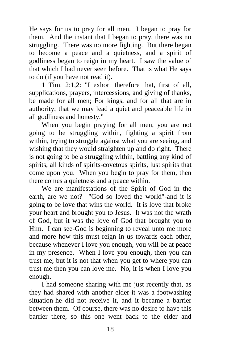He says for us to pray for all men. I began to pray for them. And the instant that I began to pray, there was no struggling. There was no more fighting. But there began to become a peace and a quietness, and a spirit of godliness began to reign in my heart. I saw the value of that which I had never seen before. That is what He says to do (if you have not read it).

1 Tim. 2:1,2: "I exhort therefore that, first of all, supplications, prayers, intercessions, and giving of thanks, be made for all men; For kings, and for all that are in authority; that we may lead a quiet and peaceable life in all godliness and honesty."

When you begin praying for all men, you are not going to be struggling within, fighting a spirit from within, trying to struggle against what you are seeing, and wishing that they would straighten up and do right. There is not going to be a struggling within, battling any kind of spirits, all kinds of spirits-covetous spirits, lust spirits that come upon you. When you begin to pray for them, then there comes a quietness and a peace within.

We are manifestations of the Spirit of God in the earth, are we not? "God so loved the world"-and it is going to be love that wins the world. It is love that broke your heart and brought you to Jesus. It was not the wrath of God, but it was the love of God that brought you to Him. I can see-God is beginning to reveal unto me more and more how this must reign in us towards each other, because whenever I love you enough, you will be at peace in my presence. When I love you enough, then you can trust me; but it is not that when you get to where you can trust me then you can love me. No, it is when I love you enough.

I had someone sharing with me just recently that, as they had shared with another elder-it was a footwashing situation-he did not receive it, and it became a barrier between them. Of course, there was no desire to have this barrier there, so this one went back to the elder and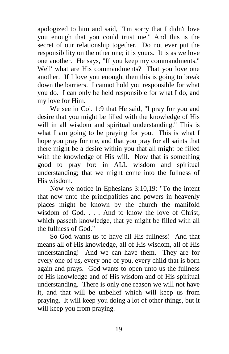apologized to him and said, "I'm sorry that I didn't love you enough that you could trust me." And this is the secret of our relationship together. Do not ever put the responsibility on the other one; it is yours. It is as we love one another. He says, "If you keep my commandments." Well' what are His commandments? That you love one another. If I love you enough, then this is going to break down the barriers. I cannot hold you responsible for what you do. I can only be held responsible for what I do, and my love for Him.

We see in Col. 1:9 that He said, "I pray for you and desire that you might be filled with the knowledge of His will in all wisdom and spiritual understanding." This is what I am going to be praying for you. This is what I hope you pray for me, and that you pray for all saints that there might be a desire within you that all might be filled with the knowledge of His will. Now that is something good to pray for: in ALL wisdom and spiritual understanding; that we might come into the fullness of His wisdom.

Now we notice in Ephesians 3:10,19: "To the intent that now unto the principalities and powers in heavenly places might be known by the church the manifold wisdom of God. . . . And to know the love of Christ, which passeth knowledge, that ye might be filled with all the fullness of God."

So God wants us to have all His fullness! And that means all of His knowledge, all of His wisdom, all of His understanding! And we can have them. They are for every one of us**,** every one of you, every child that is born again and prays. God wants to open unto us the fullness of His knowledge and of His wisdom and of His spiritual understanding. There is only one reason we will not have it, and that will be unbelief which will keep us from praying. It will keep you doing a lot of other things, but it will keep you from praying.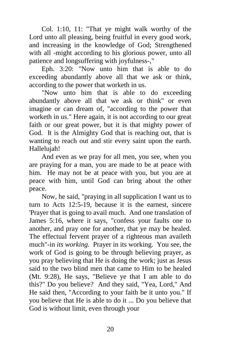Col. 1:10, 11: "That ye might walk worthy of the Lord unto all pleasing, being fruitful in every good work, and increasing in the knowledge of God; Strengthened with all -might according to his glorious power, unto all patience and longsuffering with joyfulness-,"

Eph. 3:20: "Now unto him that is able to do exceeding abundantly above all that we ask or think, according to the power that worketh in us.

"Now unto him that is able to do exceeding abundantly above all that we ask or think" or even imagine or can dream of, "according to the power that worketh in us." Here again, it is not according to our great faith or our great power, but it is that mighty power of God. It is the Almighty God that is reaching out, that is wanting to reach out and stir every saint upon the earth. Hallelujah!

And even as we pray for all men, you see, when you are praying for a man, you are made to be at peace with him. He may not be at peace with you, but you are at peace with him, until God can bring about the other peace.

Now, he said, "praying in all supplication I want us to turn to Acts 12:5-19, because it is the earnest, sincere 'Prayer that is going to avail much. And one translation of James 5:16, where it says, "confess your faults one to another, and pray one for another, that ye may be healed. The effectual fervent prayer of a righteous man availeth much"-in *its working.* Prayer in its working. You see, the work of God is going to be through believing prayer, as you pray believing that He is doing the work; just as Jesus said to the two blind men that came to Him to be healed (Mt. 9:28), He says, "Believe ye that I am able to do this?" Do you believe? And they said, "Yea, Lord," And He said then, "According to your faith be it unto you." If you believe that He is able to do it ... Do you believe that God is without limit, even through your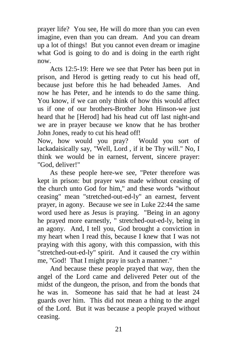prayer life? You see, He will do more than you can even imagine, even than you can dream. And you can dream up a lot of things! But you cannot even dream or imagine what God is going to do and is doing in the earth right now.

Acts 12:5-19: Here we see that Peter has been put in prison, and Herod is getting ready to cut his head off, because just before this he had beheaded James. And now he has Peter, and he intends to do the same thing. You know, if we can only think of how this would affect us if one of our brothers-Brother John Hinson-we just heard that he [Herod] had his head cut off last night-and we are in prayer because we know that he has brother John Jones, ready to cut his head off!

Now, how would you pray? Would you sort of lackadaisically say, "Well, Lord , if it be Thy will." No, I think we would be in earnest, fervent, sincere prayer: "God, deliver!"

As these people here-we see, "Peter therefore was kept in prison: but prayer was made without ceasing of the church unto God for him," and these words "without ceasing" mean "stretched-out-ed-ly" an earnest, fervent prayer, in agony. Because we see in Luke 22:44 the same word used here as Jesus is praying. "Being in an agony he prayed more earnestly, " stretched-out-ed-ly, being in an agony. And, I tell you, God brought a conviction in my heart when I read this, because I knew that I was not praying with this agony, with this compassion, with this "stretched-out-ed-ly" spirit. And it caused the cry within me, "God! That I might pray in such a manner."

And because these people prayed that way, then the angel of the Lord came and delivered Peter out of the midst of the dungeon, the prison, and from the bonds that he was in. Someone has said that he had at least 24 guards over him. This did not mean a thing to the angel of the Lord. But it was because a people prayed without ceasing.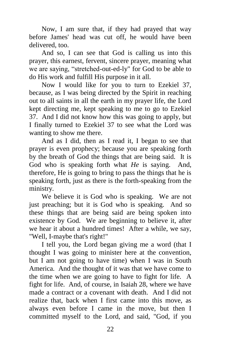Now, I am sure that, if they had prayed that way before James' head was cut off, he would have been delivered, too.

And so, I can see that God is calling us into this prayer, this earnest, fervent, sincere prayer, meaning what we are saying, "stretched-out-ed-ly" for God to be able to do His work and fulfill His purpose in it all.

Now I would like for you to turn to Ezekiel 37, because, as I was being directed by the Spirit in reaching out to all saints in all the earth in my prayer life, the Lord kept directing me, kept speaking to me to go to Ezekiel 37. And I did not know how this was going to apply, but I finally turned to Ezekiel 37 to see what the Lord was wanting to show me there.

And as I did, then as I read it, I began to see that prayer is even prophecy; because you are speaking forth by the breath of God the things that are being said. It is God who is speaking forth what *He* is saying. And, therefore, He is going to bring to pass the things that he is speaking forth, just as there is the forth-speaking from the ministry.

We believe it is God who is speaking. We are not just preaching; but it is God who is speaking. And so these things that are being said are being spoken into existence by God. We are beginning to believe it, after we hear it about a hundred times! After a while, we say, "Well, I-maybe that's right!"

I tell you, the Lord began giving me a word (that I thought I was going to minister here at the convention, but I am not going to have time) when I was in South America. And the thought of it was that we have come to the time when we are going to have to fight for life. A fight for life. And, of course, in Isaiah 28, where we have made a contract or a covenant with death. And I did not realize that, back when I first came into this move, as always even before I came in the move, but then I committed myself to the Lord, and said, "God, if you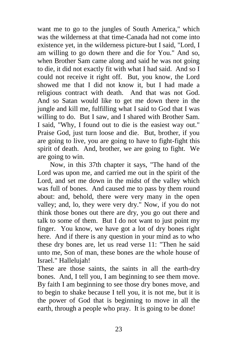want me to go to the jungles of South America," which was the wilderness at that time-Canada had not come into existence yet, in the wilderness picture-but I said, "Lord, I am willing to go down there and die for You." And so, when Brother Sam came along and said he was not going to die, it did not exactly fit with what I had said. And so I could not receive it right off. But, you know, the Lord showed me that I did not know it, but I had made a religious contract with death. And that was not God. And so Satan would like to get me down there in the jungle and kill me, fulfilling what I said to God that I was willing to do. But I saw, and I shared with Brother Sam. I said, "Why, I found out to die is the easiest way out." Praise God, just turn loose and die. But, brother, if you are going to live, you are going to have to fight-fight this spirit of death. And, brother, we are going to fight. We are going to win.

Now, in this 37th chapter it says, "The hand of the Lord was upon me, and carried me out in the spirit of the Lord, and set me down in the midst of the valley which was full of bones. And caused me to pass by them round about: and, behold, there were very many in the open valley; and, lo, they were very dry." Now, if you do not think those bones out there are dry, you go out there and talk to some of them. But I do not want to just point my finger. You know, we have got a lot of dry bones right here. And if there is any question in your mind as to who these dry bones are, let us read verse 11: "Then he said unto me, Son of man, these bones are the whole house of Israel." Hallelujah!

These are those saints, the saints in all the earth-dry bones. And, I tell you, I am beginning to see them move. By faith I am beginning to see those dry bones move, and to begin to shake because I tell you, it is not me, but it is the power of God that is beginning to move in all the earth, through a people who pray. It is going to be done!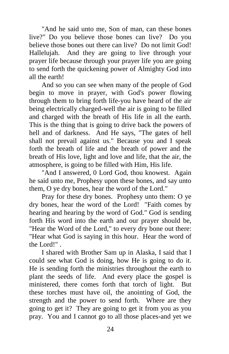"And he said unto me, Son of man, can these bones live?" Do you believe those bones can live? Do you believe those bones out there can live? Do not limit God! Hallelujah. And they are going to live through your prayer life because through your prayer life you are going to send forth the quickening power of Almighty God into all the earth!

And so you can see when many of the people of God begin to move in prayer, with God's power flowing through them to bring forth life-you have heard of the air being electrically charged-well the air is going to be filled and charged with the breath of His life in all the earth. This is the thing that is going to drive back the powers of hell and of darkness. And He says, "The gates of hell shall not prevail against us." Because you and I speak forth the breath of life and the breath of power and the breath of His love, light and love and life, that the air, the atmosphere, is going to be filled with Him, His life.

"And I answered, 0 Lord God, thou knowest. Again he said unto me, Prophesy upon these bones, and say unto them, O ye dry bones, hear the word of the Lord."

Pray for these dry bones. Prophesy unto them: O ye dry bones, hear the word of the Lord! "Faith comes by hearing and hearing by the word of God." God is sending forth His word into the earth and our prayer should be, "Hear the Word of the Lord," to every dry bone out there: "Hear what God is saying in this hour. Hear the word of the Lord!" .

I shared with Brother Sam up in Alaska, I said that I could see what God is doing, how He is going to do it. He is sending forth the ministries throughout the earth to plant the seeds of life. And every place the gospel is ministered, there comes forth that torch of light. But these torches must have oil, the anointing of God, the strength and the power to send forth. Where are they going to get it? They are going to get it from you as you pray. You and I cannot go to all those places-and yet we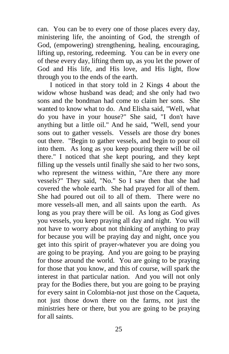can. You can be to every one of those places every day, ministering life, the anointing of God, the strength of God, (empowering) strengthening, healing, encouraging, lifting up, restoring, redeeming. You can be in every one of these every day, lifting them up, as you let the power of God and His life, and His love, and His light, flow through you to the ends of the earth.

I noticed in that story told in 2 Kings 4 about the widow whose husband was dead; and she only had two sons and the bondman had come to claim her sons. She wanted to know what to do. And Elisha said, "Well, what do you have in your house?" She said, "I don't have anything but a little oil." And he said, "Well, send your sons out to gather vessels. Vessels are those dry bones out there. "Begin to gather vessels, and begin to pour oil into them. As long as you keep pouring there will be oil there." I noticed that she kept pouring, and they kept filling up the vessels until finally she said to her two sons, who represent the witness within, "Are there any more vessels?" They said, "No." So I saw then that she had covered the whole earth. She had prayed for all of them. She had poured out oil to all of them. There were no more vessels-all men, and all saints upon the earth. As long as you pray there will be oil. As long as God gives you vessels, you keep praying all day and night. You will not have to worry about not thinking of anything to pray for because you will be praying day and night, once you get into this spirit of prayer-whatever you are doing you are going to be praying. And you are going to be praying for those around the world. You are going to be praying for those that you know, and this of course, will spark the interest in that particular nation. And you will not only pray for the Bodies there, but you are going to be praying for every saint in Colombia-not just those on the Caqueta, not just those down there on the farms, not just the ministries here or there, but you are going to be praying for all saints.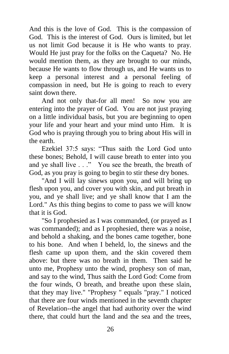And this is the love of God. This is the compassion of God. This is the interest of God. Ours is limited, but let us not limit God because it is He who wants to pray. Would He just pray for the folks on the Caqueta? No. He would mention them, as they are brought to our minds, because He wants to flow through us, and He wants us to keep a personal interest and a personal feeling of compassion in need, but He is going to reach to every saint down there.

And not only that-for all men! So now you are entering into the prayer of God. You are not just praying on a little individual basis, but you are beginning to open your life and your heart and your mind unto Him. It is God who is praying through you to bring about His will in the earth.

Ezekiel 37:5 says: "Thus saith the Lord God unto these bones; Behold, I will cause breath to enter into you and ye shall live . . ." You see the breath, the breath of God, as you pray is going to begin to stir these dry bones.

"And I will lay sinews upon you, and will bring up flesh upon you, and cover you with skin, and put breath in you, and ye shall live; and ye shall know that I am the Lord." As this thing begins to come to pass we will know that it is God.

"So I prophesied as I was commanded, (or prayed as I was commanded); and as I prophesied, there was a noise, and behold a shaking, and the bones came together, bone to his bone. And when I beheld, lo, the sinews and the flesh came up upon them, and the skin covered them above: but there was no breath in them. Then said he unto me, Prophesy unto the wind, prophesy son of man, and say to the wind, Thus saith the Lord God: Come from the four winds, O breath, and breathe upon these slain, that they may live." "Prophesy " equals "pray." I noticed that there are four winds mentioned in the seventh chapter of Revelation--the angel that had authority over the wind there, that could hurt the land and the sea and the trees,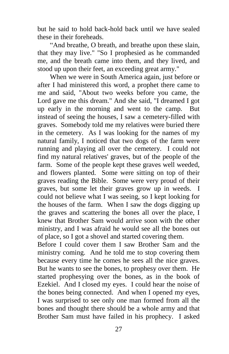but he said to hold back-hold back until we have sealed these in their foreheads.

"And breathe, O breath, and breathe upon these slain, that they may live." "So I prophesied as he commanded me, and the breath came into them, and they lived, and stood up upon their feet, an exceeding great army."

When we were in South America again, just before or after I had ministered this word, a prophet there came to me and said, "About two weeks before you came, the Lord gave me this dream." And she said, "I dreamed I got up early in the morning and went to the camp. But instead of seeing the houses, I saw a cemetery-filled with graves. Somebody told me my relatives were buried there in the cemetery. As I was looking for the names of my natural family, I noticed that two dogs of the farm were running and playing all over the cemetery. I could not find my natural relatives' graves, but of the people of the farm. Some of the people kept these graves well weeded, and flowers planted. Some were sitting on top of their graves reading the Bible. Some were very proud of their graves, but some let their graves grow up in weeds. I could not believe what I was seeing, so I kept looking for the houses of the farm. When I saw the dogs digging up the graves and scattering the bones all over the place, I knew that Brother Sam would arrive soon with the other ministry, and I was afraid he would see all the bones out of place, so I got a shovel and started covering them.

Before I could cover them I saw Brother Sam and the ministry coming. And he told me to stop covering them because every time he comes he sees all the nice graves. But he wants to see the bones, to prophesy over them. He started prophesying over the bones, as in the book of Ezekiel. And I closed my eyes. I could hear the noise of the bones being connected. And when I opened my eyes, I was surprised to see only one man formed from all the bones and thought there should be a whole army and that Brother Sam must have failed in his prophecy. I asked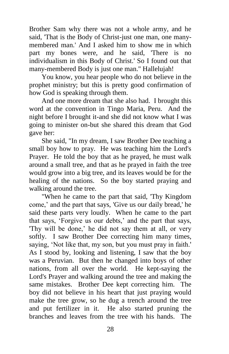Brother Sam why there was not a whole army, and he said, 'That is the Body of Christ-just one man, one manymembered man.' And I asked him to show me in which part my bones were, and he said, 'There is no individualism in this Body of Christ.' So I found out that many-membered Body is just one man." Hallelujah!

You know, you hear people who do not believe in the prophet ministry; but this is pretty good confirmation of how God is speaking through them.

And one more dream that she also had. I brought this word at the convention in Tingo Maria, Peru. And the night before I brought it-and she did not know what I was going to minister on-but she shared this dream that God gave her:

She said, "In my dream, I saw Brother Dee teaching a small boy how to pray. He was teaching him the Lord's Prayer. He told the boy that as he prayed, he must walk around a small tree, and that as he prayed in faith the tree would grow into a big tree, and its leaves would be for the healing of the nations. So the boy started praying and walking around the tree.

"When he came to the part that said, 'Thy Kingdom come,' and the part that says, 'Give us our daily bread,' he said these parts very loudly. When he came to the part that says, 'Forgive us our debts,' and the part that says, 'Thy will be done,' he did not say them at all, or very softly. I saw Brother Dee correcting him many times, saying, 'Not like that, my son, but you must pray in faith.' As I stood by, looking and listening, I saw that the boy was a Peruvian. But then he changed into boys of other nations, from all over the world. He kept-saying the Lord's Prayer and walking around the tree and making the same mistakes. Brother Dee kept correcting him. The boy did not believe in his heart that just praying would make the tree grow, so he dug a trench around the tree and put fertilizer in it. He also started pruning the branches and leaves from the tree with his hands. The